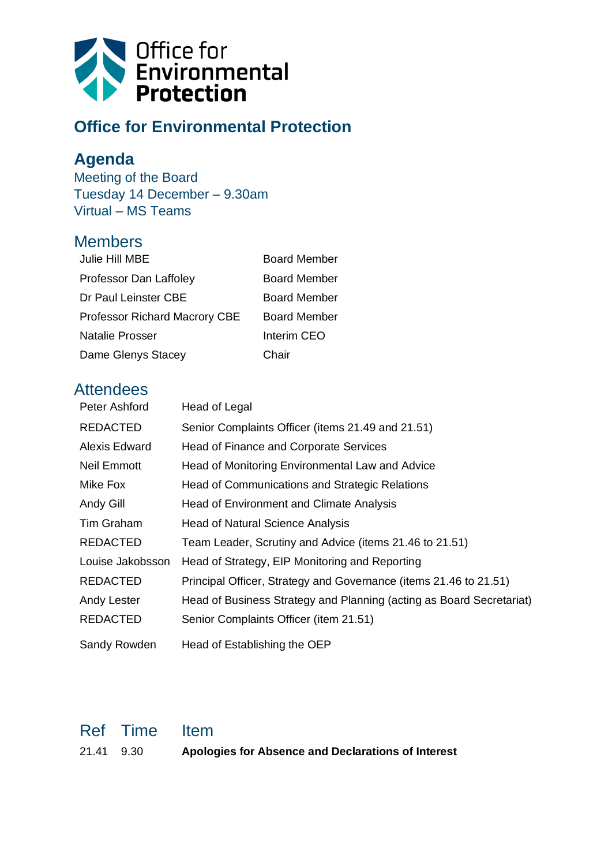

## **Office for Environmental Protection**

## **Agenda**

Meeting of the Board Tuesday 14 December – 9.30am Virtual – MS Teams

## **Members**

| Julie Hill MBE                       | <b>Board Member</b> |
|--------------------------------------|---------------------|
| Professor Dan Laffoley               | <b>Board Member</b> |
| Dr Paul Leinster CBE                 | <b>Board Member</b> |
| <b>Professor Richard Macrory CBE</b> | <b>Board Member</b> |
| Natalie Prosser                      | Interim CEO         |
| Dame Glenys Stacey                   | Chair               |
|                                      |                     |

## **Attendees**

| Peter Ashford        | Head of Legal                                                        |
|----------------------|----------------------------------------------------------------------|
| <b>REDACTED</b>      | Senior Complaints Officer (items 21.49 and 21.51)                    |
| <b>Alexis Edward</b> | Head of Finance and Corporate Services                               |
| <b>Neil Emmott</b>   | Head of Monitoring Environmental Law and Advice                      |
| Mike Fox             | Head of Communications and Strategic Relations                       |
| Andy Gill            | Head of Environment and Climate Analysis                             |
| Tim Graham           | <b>Head of Natural Science Analysis</b>                              |
| <b>REDACTED</b>      | Team Leader, Scrutiny and Advice (items 21.46 to 21.51)              |
| Louise Jakobsson     | Head of Strategy, EIP Monitoring and Reporting                       |
| <b>REDACTED</b>      | Principal Officer, Strategy and Governance (items 21.46 to 21.51)    |
| Andy Lester          | Head of Business Strategy and Planning (acting as Board Secretariat) |
| <b>REDACTED</b>      | Senior Complaints Officer (item 21.51)                               |
| Sandy Rowden         | Head of Establishing the OEP                                         |

|            | Ref Time Item |                                                    |
|------------|---------------|----------------------------------------------------|
| 21.41 9.30 |               | Apologies for Absence and Declarations of Interest |